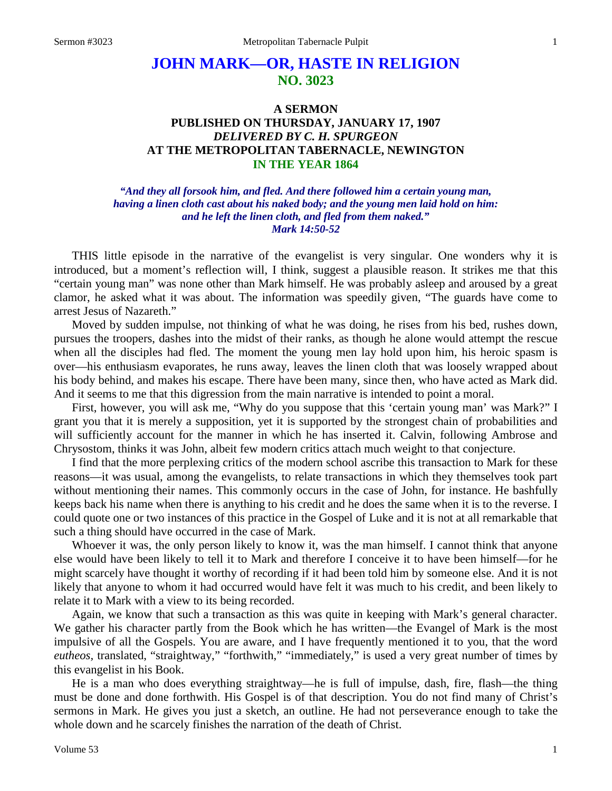## **JOHN MARK—OR, HASTE IN RELIGION NO. 3023**

## **A SERMON PUBLISHED ON THURSDAY, JANUARY 17, 1907** *DELIVERED BY C. H. SPURGEON* **AT THE METROPOLITAN TABERNACLE, NEWINGTON IN THE YEAR 1864**

*"And they all forsook him, and fled. And there followed him a certain young man, having a linen cloth cast about his naked body; and the young men laid hold on him: and he left the linen cloth, and fled from them naked." Mark 14:50-52*

THIS little episode in the narrative of the evangelist is very singular. One wonders why it is introduced, but a moment's reflection will, I think, suggest a plausible reason. It strikes me that this "certain young man" was none other than Mark himself. He was probably asleep and aroused by a great clamor, he asked what it was about. The information was speedily given, "The guards have come to arrest Jesus of Nazareth."

Moved by sudden impulse, not thinking of what he was doing, he rises from his bed, rushes down, pursues the troopers, dashes into the midst of their ranks, as though he alone would attempt the rescue when all the disciples had fled. The moment the young men lay hold upon him, his heroic spasm is over—his enthusiasm evaporates, he runs away, leaves the linen cloth that was loosely wrapped about his body behind, and makes his escape. There have been many, since then, who have acted as Mark did. And it seems to me that this digression from the main narrative is intended to point a moral.

First, however, you will ask me, "Why do you suppose that this 'certain young man' was Mark?" I grant you that it is merely a supposition, yet it is supported by the strongest chain of probabilities and will sufficiently account for the manner in which he has inserted it. Calvin, following Ambrose and Chrysostom, thinks it was John, albeit few modern critics attach much weight to that conjecture.

I find that the more perplexing critics of the modern school ascribe this transaction to Mark for these reasons—it was usual, among the evangelists, to relate transactions in which they themselves took part without mentioning their names. This commonly occurs in the case of John, for instance. He bashfully keeps back his name when there is anything to his credit and he does the same when it is to the reverse. I could quote one or two instances of this practice in the Gospel of Luke and it is not at all remarkable that such a thing should have occurred in the case of Mark.

Whoever it was, the only person likely to know it, was the man himself. I cannot think that anyone else would have been likely to tell it to Mark and therefore I conceive it to have been himself—for he might scarcely have thought it worthy of recording if it had been told him by someone else. And it is not likely that anyone to whom it had occurred would have felt it was much to his credit, and been likely to relate it to Mark with a view to its being recorded.

Again, we know that such a transaction as this was quite in keeping with Mark's general character. We gather his character partly from the Book which he has written—the Evangel of Mark is the most impulsive of all the Gospels. You are aware, and I have frequently mentioned it to you, that the word *eutheos,* translated, "straightway," "forthwith," "immediately," is used a very great number of times by this evangelist in his Book.

He is a man who does everything straightway—he is full of impulse, dash, fire, flash—the thing must be done and done forthwith. His Gospel is of that description. You do not find many of Christ's sermons in Mark. He gives you just a sketch, an outline. He had not perseverance enough to take the whole down and he scarcely finishes the narration of the death of Christ.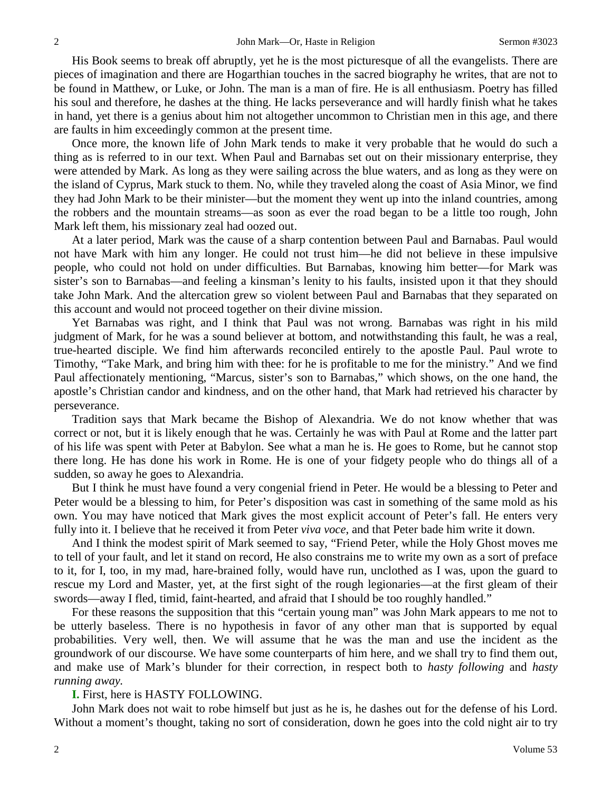His Book seems to break off abruptly, yet he is the most picturesque of all the evangelists. There are pieces of imagination and there are Hogarthian touches in the sacred biography he writes, that are not to be found in Matthew, or Luke, or John. The man is a man of fire. He is all enthusiasm. Poetry has filled his soul and therefore, he dashes at the thing. He lacks perseverance and will hardly finish what he takes in hand, yet there is a genius about him not altogether uncommon to Christian men in this age, and there are faults in him exceedingly common at the present time.

Once more, the known life of John Mark tends to make it very probable that he would do such a thing as is referred to in our text. When Paul and Barnabas set out on their missionary enterprise, they were attended by Mark. As long as they were sailing across the blue waters, and as long as they were on the island of Cyprus, Mark stuck to them. No, while they traveled along the coast of Asia Minor, we find they had John Mark to be their minister—but the moment they went up into the inland countries, among the robbers and the mountain streams—as soon as ever the road began to be a little too rough, John Mark left them, his missionary zeal had oozed out.

At a later period, Mark was the cause of a sharp contention between Paul and Barnabas. Paul would not have Mark with him any longer. He could not trust him—he did not believe in these impulsive people, who could not hold on under difficulties. But Barnabas, knowing him better—for Mark was sister's son to Barnabas—and feeling a kinsman's lenity to his faults, insisted upon it that they should take John Mark. And the altercation grew so violent between Paul and Barnabas that they separated on this account and would not proceed together on their divine mission.

Yet Barnabas was right, and I think that Paul was not wrong. Barnabas was right in his mild judgment of Mark, for he was a sound believer at bottom, and notwithstanding this fault, he was a real, true-hearted disciple. We find him afterwards reconciled entirely to the apostle Paul. Paul wrote to Timothy, "Take Mark, and bring him with thee: for he is profitable to me for the ministry." And we find Paul affectionately mentioning, "Marcus, sister's son to Barnabas," which shows, on the one hand, the apostle's Christian candor and kindness, and on the other hand, that Mark had retrieved his character by perseverance.

Tradition says that Mark became the Bishop of Alexandria. We do not know whether that was correct or not, but it is likely enough that he was. Certainly he was with Paul at Rome and the latter part of his life was spent with Peter at Babylon. See what a man he is. He goes to Rome, but he cannot stop there long. He has done his work in Rome. He is one of your fidgety people who do things all of a sudden, so away he goes to Alexandria.

But I think he must have found a very congenial friend in Peter. He would be a blessing to Peter and Peter would be a blessing to him, for Peter's disposition was cast in something of the same mold as his own. You may have noticed that Mark gives the most explicit account of Peter's fall. He enters very fully into it. I believe that he received it from Peter *viva voce*, and that Peter bade him write it down.

And I think the modest spirit of Mark seemed to say, "Friend Peter, while the Holy Ghost moves me to tell of your fault, and let it stand on record, He also constrains me to write my own as a sort of preface to it, for I, too, in my mad, hare-brained folly, would have run, unclothed as I was, upon the guard to rescue my Lord and Master, yet, at the first sight of the rough legionaries—at the first gleam of their swords—away I fled, timid, faint-hearted, and afraid that I should be too roughly handled."

For these reasons the supposition that this "certain young man" was John Mark appears to me not to be utterly baseless. There is no hypothesis in favor of any other man that is supported by equal probabilities. Very well, then. We will assume that he was the man and use the incident as the groundwork of our discourse. We have some counterparts of him here, and we shall try to find them out, and make use of Mark's blunder for their correction, in respect both to *hasty following* and *hasty running away.*

## **I.** First, here is HASTY FOLLOWING.

John Mark does not wait to robe himself but just as he is, he dashes out for the defense of his Lord. Without a moment's thought, taking no sort of consideration, down he goes into the cold night air to try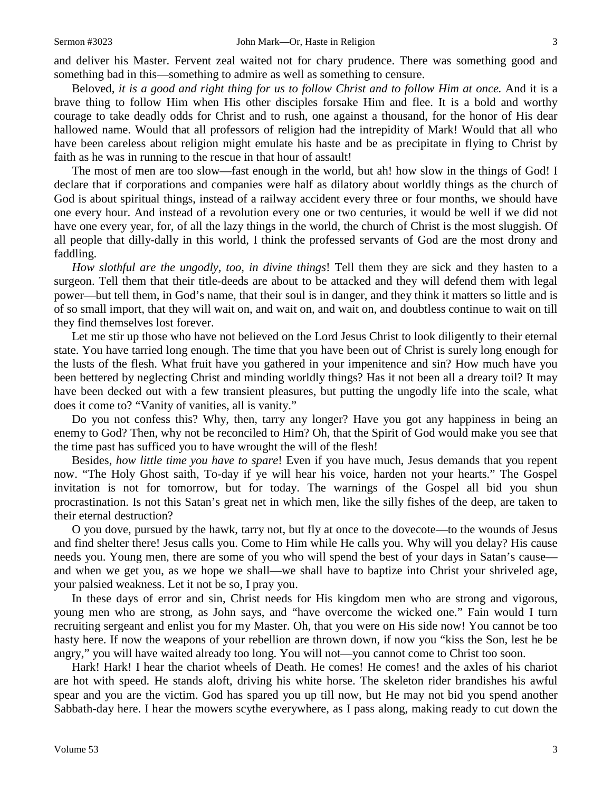and deliver his Master. Fervent zeal waited not for chary prudence. There was something good and something bad in this—something to admire as well as something to censure.

Beloved, *it is a good and right thing for us to follow Christ and to follow Him at once.* And it is a brave thing to follow Him when His other disciples forsake Him and flee. It is a bold and worthy courage to take deadly odds for Christ and to rush, one against a thousand, for the honor of His dear hallowed name. Would that all professors of religion had the intrepidity of Mark! Would that all who have been careless about religion might emulate his haste and be as precipitate in flying to Christ by faith as he was in running to the rescue in that hour of assault!

The most of men are too slow—fast enough in the world, but ah! how slow in the things of God! I declare that if corporations and companies were half as dilatory about worldly things as the church of God is about spiritual things, instead of a railway accident every three or four months, we should have one every hour. And instead of a revolution every one or two centuries, it would be well if we did not have one every year, for, of all the lazy things in the world, the church of Christ is the most sluggish. Of all people that dilly-dally in this world, I think the professed servants of God are the most drony and faddling.

*How slothful are the ungodly, too, in divine things*! Tell them they are sick and they hasten to a surgeon. Tell them that their title-deeds are about to be attacked and they will defend them with legal power—but tell them, in God's name, that their soul is in danger, and they think it matters so little and is of so small import, that they will wait on, and wait on, and wait on, and doubtless continue to wait on till they find themselves lost forever.

Let me stir up those who have not believed on the Lord Jesus Christ to look diligently to their eternal state. You have tarried long enough. The time that you have been out of Christ is surely long enough for the lusts of the flesh. What fruit have you gathered in your impenitence and sin? How much have you been bettered by neglecting Christ and minding worldly things? Has it not been all a dreary toil? It may have been decked out with a few transient pleasures, but putting the ungodly life into the scale, what does it come to? "Vanity of vanities, all is vanity."

Do you not confess this? Why, then, tarry any longer? Have you got any happiness in being an enemy to God? Then, why not be reconciled to Him? Oh, that the Spirit of God would make you see that the time past has sufficed you to have wrought the will of the flesh!

Besides, *how little time you have to spare*! Even if you have much, Jesus demands that you repent now. "The Holy Ghost saith, To-day if ye will hear his voice, harden not your hearts." The Gospel invitation is not for tomorrow, but for today. The warnings of the Gospel all bid you shun procrastination. Is not this Satan's great net in which men, like the silly fishes of the deep, are taken to their eternal destruction?

O you dove, pursued by the hawk, tarry not, but fly at once to the dovecote—to the wounds of Jesus and find shelter there! Jesus calls you. Come to Him while He calls you. Why will you delay? His cause needs you. Young men, there are some of you who will spend the best of your days in Satan's cause and when we get you, as we hope we shall—we shall have to baptize into Christ your shriveled age, your palsied weakness. Let it not be so, I pray you.

In these days of error and sin, Christ needs for His kingdom men who are strong and vigorous, young men who are strong, as John says, and "have overcome the wicked one." Fain would I turn recruiting sergeant and enlist you for my Master. Oh, that you were on His side now! You cannot be too hasty here. If now the weapons of your rebellion are thrown down, if now you "kiss the Son, lest he be angry," you will have waited already too long. You will not—you cannot come to Christ too soon.

Hark! Hark! I hear the chariot wheels of Death. He comes! He comes! and the axles of his chariot are hot with speed. He stands aloft, driving his white horse. The skeleton rider brandishes his awful spear and you are the victim. God has spared you up till now, but He may not bid you spend another Sabbath-day here. I hear the mowers scythe everywhere, as I pass along, making ready to cut down the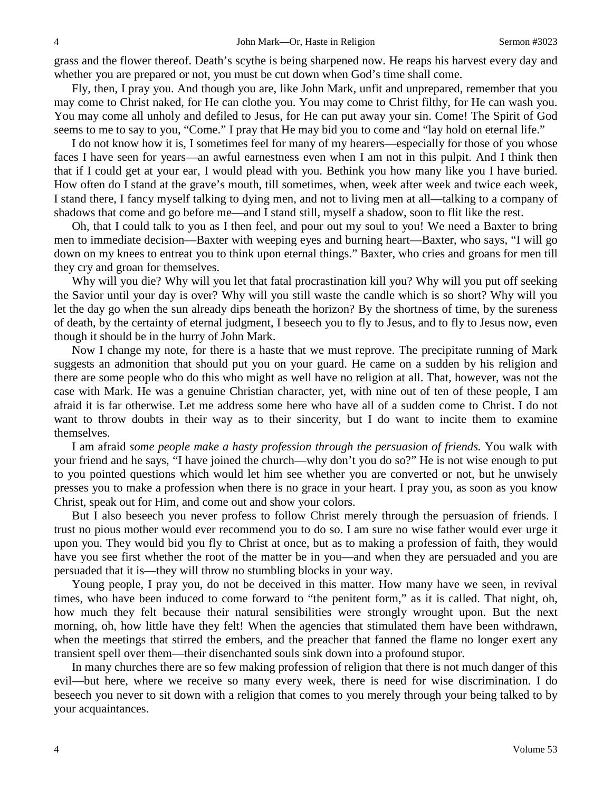grass and the flower thereof. Death's scythe is being sharpened now. He reaps his harvest every day and whether you are prepared or not, you must be cut down when God's time shall come.

Fly, then, I pray you. And though you are, like John Mark, unfit and unprepared, remember that you may come to Christ naked, for He can clothe you. You may come to Christ filthy, for He can wash you. You may come all unholy and defiled to Jesus, for He can put away your sin. Come! The Spirit of God seems to me to say to you, "Come." I pray that He may bid you to come and "lay hold on eternal life."

I do not know how it is, I sometimes feel for many of my hearers—especially for those of you whose faces I have seen for years—an awful earnestness even when I am not in this pulpit. And I think then that if I could get at your ear, I would plead with you. Bethink you how many like you I have buried. How often do I stand at the grave's mouth, till sometimes, when, week after week and twice each week, I stand there, I fancy myself talking to dying men, and not to living men at all—talking to a company of shadows that come and go before me—and I stand still, myself a shadow, soon to flit like the rest.

Oh, that I could talk to you as I then feel, and pour out my soul to you! We need a Baxter to bring men to immediate decision—Baxter with weeping eyes and burning heart—Baxter, who says, "I will go down on my knees to entreat you to think upon eternal things." Baxter, who cries and groans for men till they cry and groan for themselves.

Why will you die? Why will you let that fatal procrastination kill you? Why will you put off seeking the Savior until your day is over? Why will you still waste the candle which is so short? Why will you let the day go when the sun already dips beneath the horizon? By the shortness of time, by the sureness of death, by the certainty of eternal judgment, I beseech you to fly to Jesus, and to fly to Jesus now, even though it should be in the hurry of John Mark.

Now I change my note, for there is a haste that we must reprove. The precipitate running of Mark suggests an admonition that should put you on your guard. He came on a sudden by his religion and there are some people who do this who might as well have no religion at all. That, however, was not the case with Mark. He was a genuine Christian character, yet, with nine out of ten of these people, I am afraid it is far otherwise. Let me address some here who have all of a sudden come to Christ. I do not want to throw doubts in their way as to their sincerity, but I do want to incite them to examine themselves.

I am afraid *some people make a hasty profession through the persuasion of friends.* You walk with your friend and he says, "I have joined the church—why don't you do so?" He is not wise enough to put to you pointed questions which would let him see whether you are converted or not, but he unwisely presses you to make a profession when there is no grace in your heart. I pray you, as soon as you know Christ, speak out for Him, and come out and show your colors.

But I also beseech you never profess to follow Christ merely through the persuasion of friends. I trust no pious mother would ever recommend you to do so. I am sure no wise father would ever urge it upon you. They would bid you fly to Christ at once, but as to making a profession of faith, they would have you see first whether the root of the matter be in you—and when they are persuaded and you are persuaded that it is—they will throw no stumbling blocks in your way.

Young people, I pray you, do not be deceived in this matter. How many have we seen, in revival times, who have been induced to come forward to "the penitent form," as it is called. That night, oh, how much they felt because their natural sensibilities were strongly wrought upon. But the next morning, oh, how little have they felt! When the agencies that stimulated them have been withdrawn, when the meetings that stirred the embers, and the preacher that fanned the flame no longer exert any transient spell over them—their disenchanted souls sink down into a profound stupor.

In many churches there are so few making profession of religion that there is not much danger of this evil—but here, where we receive so many every week, there is need for wise discrimination. I do beseech you never to sit down with a religion that comes to you merely through your being talked to by your acquaintances.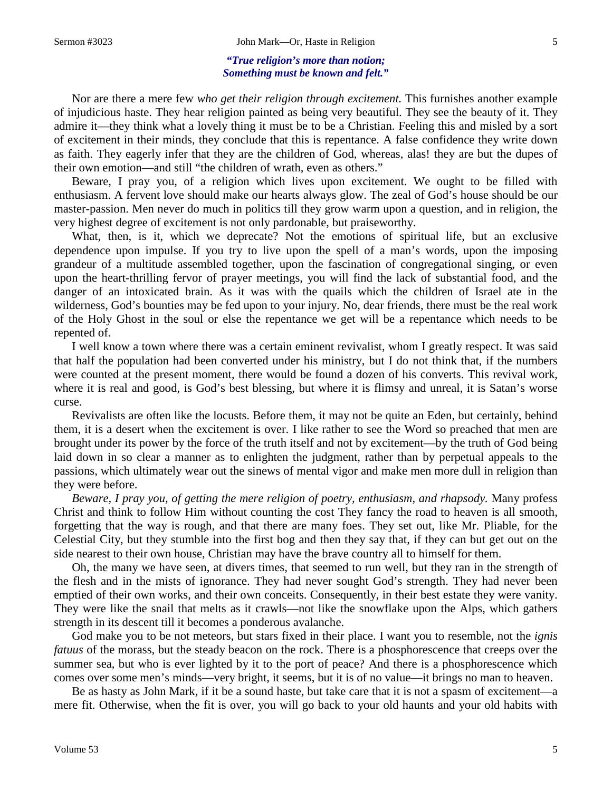## *"True religion's more than notion; Something must be known and felt."*

Nor are there a mere few *who get their religion through excitement.* This furnishes another example of injudicious haste. They hear religion painted as being very beautiful. They see the beauty of it. They admire it—they think what a lovely thing it must be to be a Christian. Feeling this and misled by a sort of excitement in their minds, they conclude that this is repentance. A false confidence they write down as faith. They eagerly infer that they are the children of God, whereas, alas! they are but the dupes of their own emotion—and still "the children of wrath, even as others."

Beware, I pray you, of a religion which lives upon excitement. We ought to be filled with enthusiasm. A fervent love should make our hearts always glow. The zeal of God's house should be our master-passion. Men never do much in politics till they grow warm upon a question, and in religion, the very highest degree of excitement is not only pardonable, but praiseworthy.

What, then, is it, which we deprecate? Not the emotions of spiritual life, but an exclusive dependence upon impulse. If you try to live upon the spell of a man's words, upon the imposing grandeur of a multitude assembled together, upon the fascination of congregational singing, or even upon the heart-thrilling fervor of prayer meetings, you will find the lack of substantial food, and the danger of an intoxicated brain. As it was with the quails which the children of Israel ate in the wilderness, God's bounties may be fed upon to your injury. No, dear friends, there must be the real work of the Holy Ghost in the soul or else the repentance we get will be a repentance which needs to be repented of.

I well know a town where there was a certain eminent revivalist, whom I greatly respect. It was said that half the population had been converted under his ministry, but I do not think that, if the numbers were counted at the present moment, there would be found a dozen of his converts. This revival work, where it is real and good, is God's best blessing, but where it is flimsy and unreal, it is Satan's worse curse.

Revivalists are often like the locusts. Before them, it may not be quite an Eden, but certainly, behind them, it is a desert when the excitement is over. I like rather to see the Word so preached that men are brought under its power by the force of the truth itself and not by excitement—by the truth of God being laid down in so clear a manner as to enlighten the judgment, rather than by perpetual appeals to the passions, which ultimately wear out the sinews of mental vigor and make men more dull in religion than they were before.

*Beware, I pray you, of getting the mere religion of poetry, enthusiasm, and rhapsody.* Many profess Christ and think to follow Him without counting the cost They fancy the road to heaven is all smooth, forgetting that the way is rough, and that there are many foes. They set out, like Mr. Pliable, for the Celestial City, but they stumble into the first bog and then they say that, if they can but get out on the side nearest to their own house, Christian may have the brave country all to himself for them.

Oh, the many we have seen, at divers times, that seemed to run well, but they ran in the strength of the flesh and in the mists of ignorance. They had never sought God's strength. They had never been emptied of their own works, and their own conceits. Consequently, in their best estate they were vanity. They were like the snail that melts as it crawls—not like the snowflake upon the Alps, which gathers strength in its descent till it becomes a ponderous avalanche.

God make you to be not meteors, but stars fixed in their place. I want you to resemble, not the *ignis fatuus* of the morass, but the steady beacon on the rock. There is a phosphorescence that creeps over the summer sea, but who is ever lighted by it to the port of peace? And there is a phosphorescence which comes over some men's minds—very bright, it seems, but it is of no value—it brings no man to heaven.

Be as hasty as John Mark, if it be a sound haste, but take care that it is not a spasm of excitement—a mere fit. Otherwise, when the fit is over, you will go back to your old haunts and your old habits with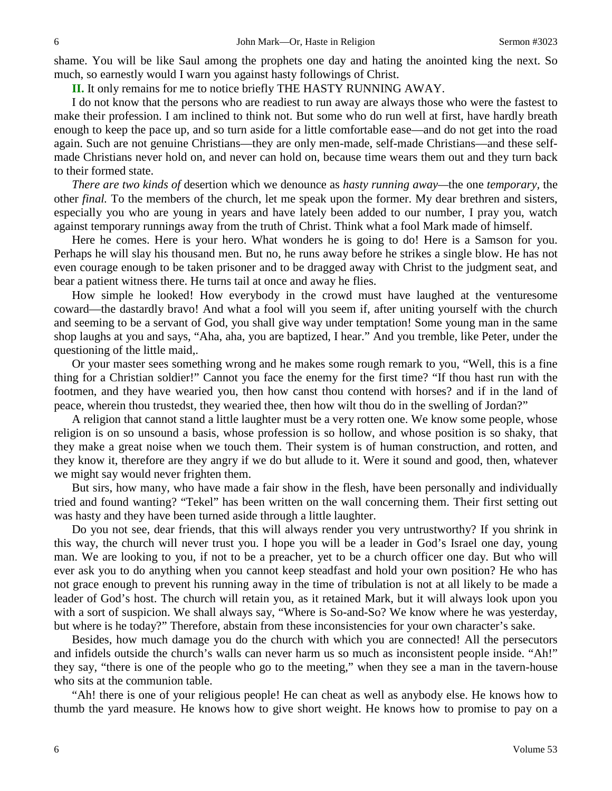shame. You will be like Saul among the prophets one day and hating the anointed king the next. So much, so earnestly would I warn you against hasty followings of Christ.

**II.** It only remains for me to notice briefly THE HASTY RUNNING AWAY.

I do not know that the persons who are readiest to run away are always those who were the fastest to make their profession. I am inclined to think not. But some who do run well at first, have hardly breath enough to keep the pace up, and so turn aside for a little comfortable ease—and do not get into the road again. Such are not genuine Christians—they are only men-made, self-made Christians—and these selfmade Christians never hold on, and never can hold on, because time wears them out and they turn back to their formed state.

*There are two kinds of* desertion which we denounce as *hasty running away—*the one *temporary,* the other *final.* To the members of the church, let me speak upon the former. My dear brethren and sisters, especially you who are young in years and have lately been added to our number, I pray you, watch against temporary runnings away from the truth of Christ. Think what a fool Mark made of himself.

Here he comes. Here is your hero. What wonders he is going to do! Here is a Samson for you. Perhaps he will slay his thousand men. But no, he runs away before he strikes a single blow. He has not even courage enough to be taken prisoner and to be dragged away with Christ to the judgment seat, and bear a patient witness there. He turns tail at once and away he flies.

How simple he looked! How everybody in the crowd must have laughed at the venturesome coward—the dastardly bravo! And what a fool will you seem if, after uniting yourself with the church and seeming to be a servant of God, you shall give way under temptation! Some young man in the same shop laughs at you and says, "Aha, aha, you are baptized, I hear." And you tremble, like Peter, under the questioning of the little maid,.

Or your master sees something wrong and he makes some rough remark to you, "Well, this is a fine thing for a Christian soldier!" Cannot you face the enemy for the first time? "If thou hast run with the footmen, and they have wearied you, then how canst thou contend with horses? and if in the land of peace, wherein thou trustedst, they wearied thee, then how wilt thou do in the swelling of Jordan?"

A religion that cannot stand a little laughter must be a very rotten one. We know some people, whose religion is on so unsound a basis, whose profession is so hollow, and whose position is so shaky, that they make a great noise when we touch them. Their system is of human construction, and rotten, and they know it, therefore are they angry if we do but allude to it. Were it sound and good, then, whatever we might say would never frighten them.

But sirs, how many, who have made a fair show in the flesh, have been personally and individually tried and found wanting? "Tekel" has been written on the wall concerning them. Their first setting out was hasty and they have been turned aside through a little laughter.

Do you not see, dear friends, that this will always render you very untrustworthy? If you shrink in this way, the church will never trust you. I hope you will be a leader in God's Israel one day, young man. We are looking to you, if not to be a preacher, yet to be a church officer one day. But who will ever ask you to do anything when you cannot keep steadfast and hold your own position? He who has not grace enough to prevent his running away in the time of tribulation is not at all likely to be made a leader of God's host. The church will retain you, as it retained Mark, but it will always look upon you with a sort of suspicion. We shall always say, "Where is So-and-So? We know where he was yesterday, but where is he today?" Therefore, abstain from these inconsistencies for your own character's sake.

Besides, how much damage you do the church with which you are connected! All the persecutors and infidels outside the church's walls can never harm us so much as inconsistent people inside. "Ah!" they say, "there is one of the people who go to the meeting," when they see a man in the tavern-house who sits at the communion table.

"Ah! there is one of your religious people! He can cheat as well as anybody else. He knows how to thumb the yard measure. He knows how to give short weight. He knows how to promise to pay on a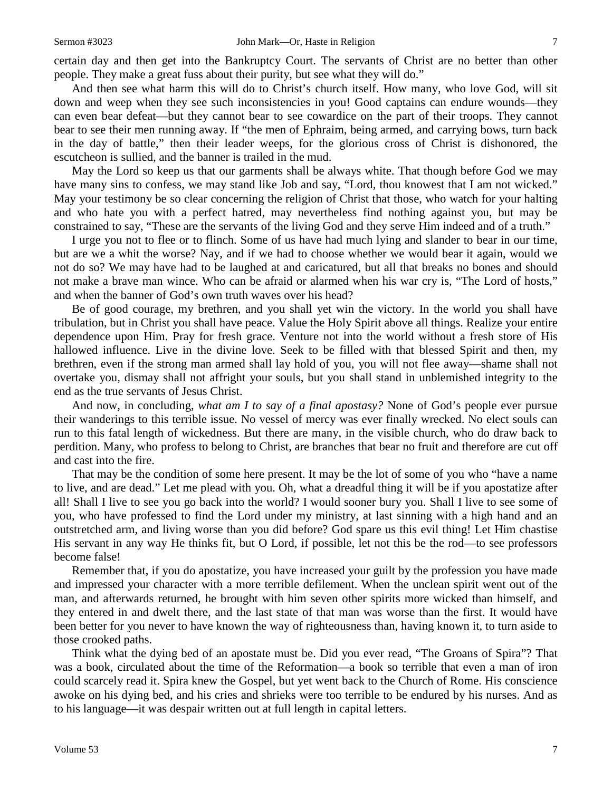And then see what harm this will do to Christ's church itself. How many, who love God, will sit down and weep when they see such inconsistencies in you! Good captains can endure wounds—they can even bear defeat—but they cannot bear to see cowardice on the part of their troops. They cannot bear to see their men running away. If "the men of Ephraim, being armed, and carrying bows, turn back in the day of battle," then their leader weeps, for the glorious cross of Christ is dishonored, the escutcheon is sullied, and the banner is trailed in the mud.

May the Lord so keep us that our garments shall be always white. That though before God we may have many sins to confess, we may stand like Job and say, "Lord*,* thou knowest that I am not wicked." May your testimony be so clear concerning the religion of Christ that those, who watch for your halting and who hate you with a perfect hatred, may nevertheless find nothing against you, but may be constrained to say, "These are the servants of the living God and they serve Him indeed and of a truth."

I urge you not to flee or to flinch. Some of us have had much lying and slander to bear in our time, but are we a whit the worse? Nay, and if we had to choose whether we would bear it again, would we not do so? We may have had to be laughed at and caricatured, but all that breaks no bones and should not make a brave man wince. Who can be afraid or alarmed when his war cry is, "The Lord of hosts," and when the banner of God's own truth waves over his head?

Be of good courage, my brethren, and you shall yet win the victory. In the world you shall have tribulation, but in Christ you shall have peace. Value the Holy Spirit above all things. Realize your entire dependence upon Him. Pray for fresh grace. Venture not into the world without a fresh store of His hallowed influence. Live in the divine love. Seek to be filled with that blessed Spirit and then, my brethren, even if the strong man armed shall lay hold of you, you will not flee away—shame shall not overtake you, dismay shall not affright your souls, but you shall stand in unblemished integrity to the end as the true servants of Jesus Christ.

And now, in concluding, *what am I to say of a final apostasy?* None of God's people ever pursue their wanderings to this terrible issue. No vessel of mercy was ever finally wrecked. No elect souls can run to this fatal length of wickedness. But there are many, in the visible church, who do draw back to perdition. Many, who profess to belong to Christ, are branches that bear no fruit and therefore are cut off and cast into the fire.

That may be the condition of some here present. It may be the lot of some of you who "have a name to live, and are dead." Let me plead with you. Oh, what a dreadful thing it will be if you apostatize after all! Shall I live to see you go back into the world? I would sooner bury you. Shall I live to see some of you, who have professed to find the Lord under my ministry, at last sinning with a high hand and an outstretched arm, and living worse than you did before? God spare us this evil thing! Let Him chastise His servant in any way He thinks fit, but O Lord, if possible, let not this be the rod—to see professors become false!

Remember that, if you do apostatize, you have increased your guilt by the profession you have made and impressed your character with a more terrible defilement. When the unclean spirit went out of the man, and afterwards returned, he brought with him seven other spirits more wicked than himself, and they entered in and dwelt there, and the last state of that man was worse than the first. It would have been better for you never to have known the way of righteousness than, having known it, to turn aside to those crooked paths.

Think what the dying bed of an apostate must be. Did you ever read, "The Groans of Spira"? That was a book, circulated about the time of the Reformation—a book so terrible that even a man of iron could scarcely read it. Spira knew the Gospel, but yet went back to the Church of Rome. His conscience awoke on his dying bed, and his cries and shrieks were too terrible to be endured by his nurses. And as to his language—it was despair written out at full length in capital letters.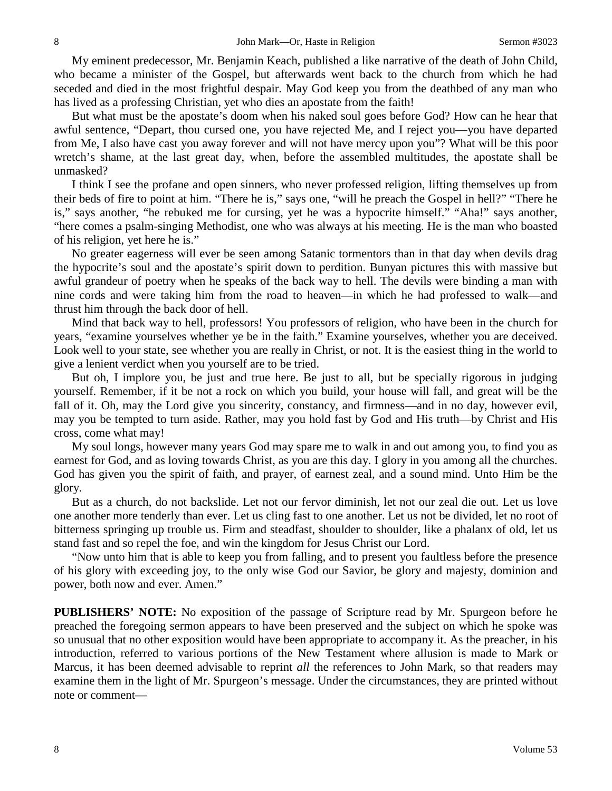My eminent predecessor, Mr. Benjamin Keach, published a like narrative of the death of John Child, who became a minister of the Gospel, but afterwards went back to the church from which he had seceded and died in the most frightful despair. May God keep you from the deathbed of any man who has lived as a professing Christian, yet who dies an apostate from the faith!

But what must be the apostate's doom when his naked soul goes before God? How can he hear that awful sentence, "Depart, thou cursed one, you have rejected Me, and I reject you—you have departed from Me, I also have cast you away forever and will not have mercy upon you"? What will be this poor wretch's shame, at the last great day, when, before the assembled multitudes, the apostate shall be unmasked?

I think I see the profane and open sinners, who never professed religion, lifting themselves up from their beds of fire to point at him. "There he is," says one, "will he preach the Gospel in hell?" "There he is," says another, "he rebuked me for cursing, yet he was a hypocrite himself." "Aha!" says another, "here comes a psalm-singing Methodist, one who was always at his meeting. He is the man who boasted of his religion, yet here he is."

No greater eagerness will ever be seen among Satanic tormentors than in that day when devils drag the hypocrite's soul and the apostate's spirit down to perdition. Bunyan pictures this with massive but awful grandeur of poetry when he speaks of the back way to hell. The devils were binding a man with nine cords and were taking him from the road to heaven—in which he had professed to walk—and thrust him through the back door of hell.

Mind that back way to hell, professors! You professors of religion, who have been in the church for years, "examine yourselves whether ye be in the faith." Examine yourselves, whether you are deceived. Look well to your state, see whether you are really in Christ, or not. It is the easiest thing in the world to give a lenient verdict when you yourself are to be tried.

But oh, I implore you, be just and true here. Be just to all, but be specially rigorous in judging yourself. Remember, if it be not a rock on which you build, your house will fall, and great will be the fall of it. Oh, may the Lord give you sincerity, constancy, and firmness—and in no day, however evil, may you be tempted to turn aside. Rather, may you hold fast by God and His truth—by Christ and His cross, come what may!

My soul longs, however many years God may spare me to walk in and out among you, to find you as earnest for God, and as loving towards Christ, as you are this day. I glory in you among all the churches. God has given you the spirit of faith, and prayer, of earnest zeal, and a sound mind. Unto Him be the glory.

But as a church, do not backslide. Let not our fervor diminish, let not our zeal die out. Let us love one another more tenderly than ever. Let us cling fast to one another. Let us not be divided, let no root of bitterness springing up trouble us. Firm and steadfast, shoulder to shoulder, like a phalanx of old, let us stand fast and so repel the foe, and win the kingdom for Jesus Christ our Lord.

"Now unto him that is able to keep you from falling, and to present you faultless before the presence of his glory with exceeding joy, to the only wise God our Savior, be glory and majesty, dominion and power, both now and ever. Amen."

**PUBLISHERS' NOTE:** No exposition of the passage of Scripture read by Mr. Spurgeon before he preached the foregoing sermon appears to have been preserved and the subject on which he spoke was so unusual that no other exposition would have been appropriate to accompany it. As the preacher, in his introduction, referred to various portions of the New Testament where allusion is made to Mark or Marcus, it has been deemed advisable to reprint *all* the references to John Mark, so that readers may examine them in the light of Mr. Spurgeon's message. Under the circumstances, they are printed without note or comment—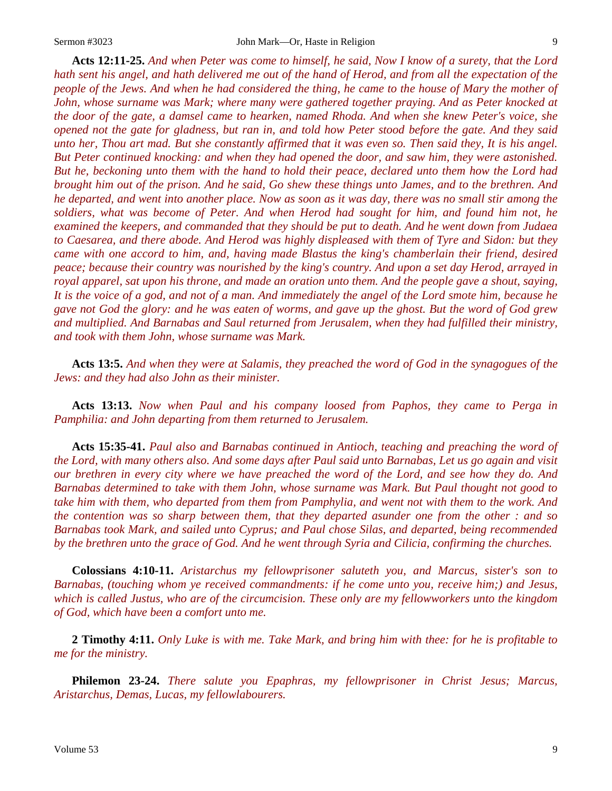**Acts 12:11-25.** *And when Peter was come to himself, he said, Now I know of a surety, that the Lord hath sent his angel, and hath delivered me out of the hand of Herod, and from all the expectation of the people of the Jews. And when he had considered the thing, he came to the house of Mary the mother of John, whose surname was Mark; where many were gathered together praying. And as Peter knocked at the door of the gate, a damsel came to hearken, named Rhoda. And when she knew Peter's voice, she opened not the gate for gladness, but ran in, and told how Peter stood before the gate. And they said unto her, Thou art mad. But she constantly affirmed that it was even so. Then said they, It is his angel. But Peter continued knocking: and when they had opened the door, and saw him, they were astonished. But he, beckoning unto them with the hand to hold their peace, declared unto them how the Lord had brought him out of the prison. And he said, Go shew these things unto James, and to the brethren. And he departed, and went into another place. Now as soon as it was day, there was no small stir among the soldiers, what was become of Peter. And when Herod had sought for him, and found him not, he examined the keepers, and commanded that they should be put to death. And he went down from Judaea to Caesarea, and there abode. And Herod was highly displeased with them of Tyre and Sidon: but they came with one accord to him, and, having made Blastus the king's chamberlain their friend, desired peace; because their country was nourished by the king's country. And upon a set day Herod, arrayed in royal apparel, sat upon his throne, and made an oration unto them. And the people gave a shout, saying, It is the voice of a god, and not of a man. And immediately the angel of the Lord smote him, because he gave not God the glory: and he was eaten of worms, and gave up the ghost. But the word of God grew and multiplied. And Barnabas and Saul returned from Jerusalem, when they had fulfilled their ministry, and took with them John, whose surname was Mark.*

**Acts 13:5.** *And when they were at Salamis, they preached the word of God in the synagogues of the Jews: and they had also John as their minister.* 

**Acts 13:13.** *Now when Paul and his company loosed from Paphos, they came to Perga in Pamphilia: and John departing from them returned to Jerusalem.* 

**Acts 15:35-41.** *Paul also and Barnabas continued in Antioch, teaching and preaching the word of the Lord, with many others also. And some days after Paul said unto Barnabas, Let us go again and visit our brethren in every city where we have preached the word of the Lord, and see how they do. And Barnabas determined to take with them John, whose surname was Mark. But Paul thought not good to take him with them, who departed from them from Pamphylia, and went not with them to the work. And the contention was so sharp between them, that they departed asunder one from the other : and so Barnabas took Mark, and sailed unto Cyprus; and Paul chose Silas, and departed, being recommended by the brethren unto the grace of God. And he went through Syria and Cilicia, confirming the churches.*

**Colossians 4:10-11.** *Aristarchus my fellowprisoner saluteth you, and Marcus, sister's son to Barnabas, (touching whom ye received commandments: if he come unto you, receive him;) and Jesus, which is called Justus, who are of the circumcision. These only are my fellowworkers unto the kingdom of God, which have been a comfort unto me.*

**2 Timothy 4:11.** *Only Luke is with me. Take Mark, and bring him with thee: for he is profitable to me for the ministry.* 

**Philemon 23-24.** *There salute you Epaphras, my fellowprisoner in Christ Jesus; Marcus, Aristarchus, Demas, Lucas, my fellowlabourers.*